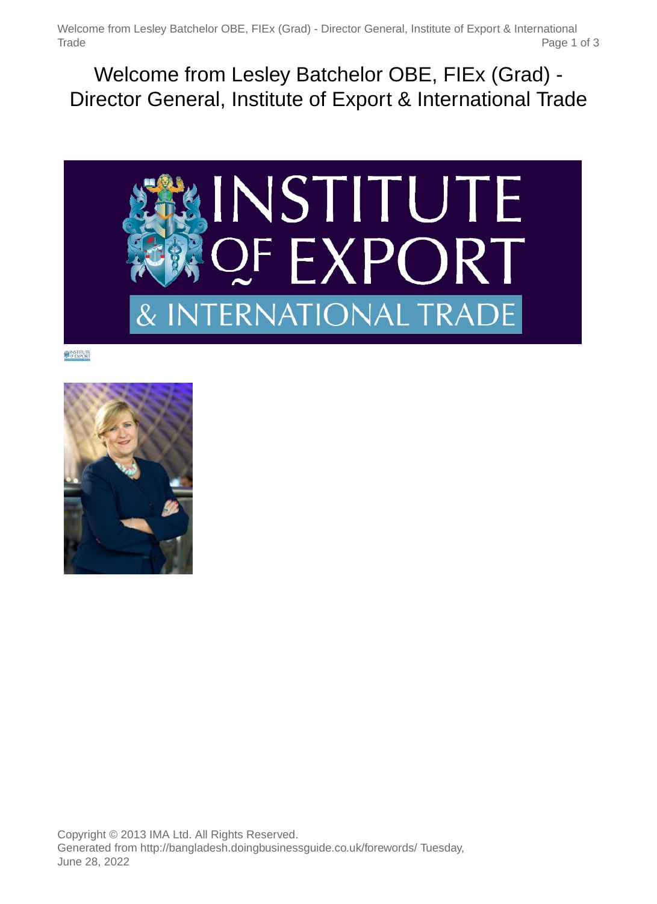Welcome from Lesley Batchelor OBE, FIEx (Grad) - Director General, Institute of Export & International Trade Page 1 of 3

Welcome from Lesley Batchelor OBE, FIEx (Grad) - Director General, Institute of Export & International Trade



**NINSTITUTE** 

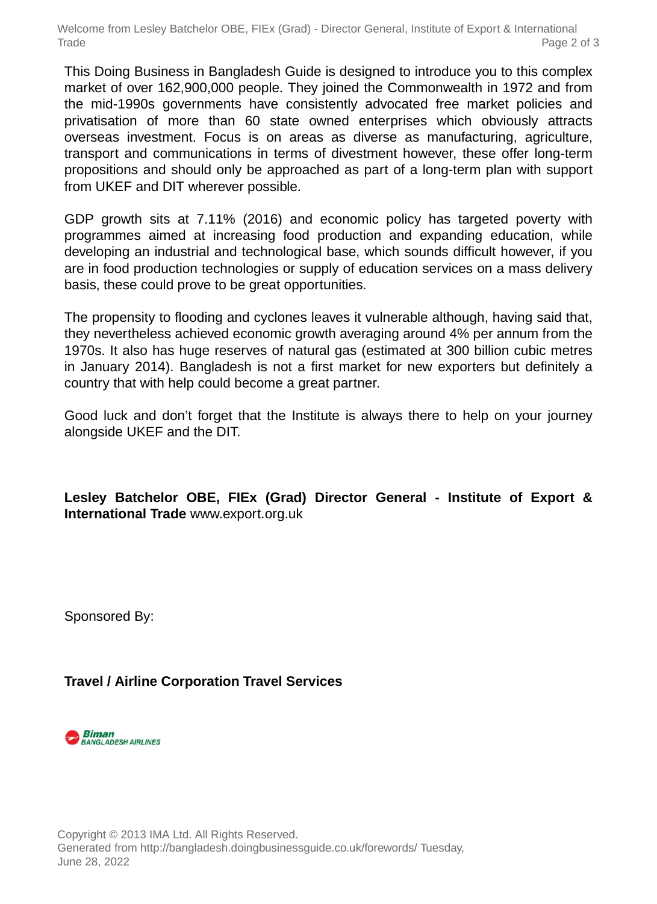Welcome from Lesley Batchelor OBE, FIEx (Grad) - Director General, Institute of Export & International Trade Page 2 of 3

This Doing Business in Bangladesh Guide is designed to introduce you to this complex market of over 162,900,000 people. They joined the Commonwealth in 1972 and from the mid-1990s governments have consistently advocated free market policies and privatisation of more than 60 state owned enterprises which obviously attracts overseas investment. Focus is on areas as diverse as manufacturing, agriculture, transport and communications in terms of divestment however, these offer long-term propositions and should only be approached as part of a long-term plan with support from UKEF and DIT wherever possible.

GDP growth sits at 7.11% (2016) and economic policy has targeted poverty with programmes aimed at increasing food production and expanding education, while developing an industrial and technological base, which sounds difficult however, if you are in food production technologies or supply of education services on a mass delivery basis, these could prove to be great opportunities.

The propensity to flooding and cyclones leaves it vulnerable although, having said that, they nevertheless achieved economic growth averaging around 4% per annum from the 1970s. It also has huge reserves of natural gas (estimated at 300 billion cubic metres in January 2014). Bangladesh is not a first market for new exporters but definitely a country that with help could become a great partner.

Good luck and don't forget that the Institute is always there to help on your journey alongside UKEF and the DIT.

**Lesley Batchelor OBE, FIEx (Grad) Director General - Institute of Export & International Trade** www.export.org.uk

Sponsored By:

## **Travel / Airline Corporation Travel Services**